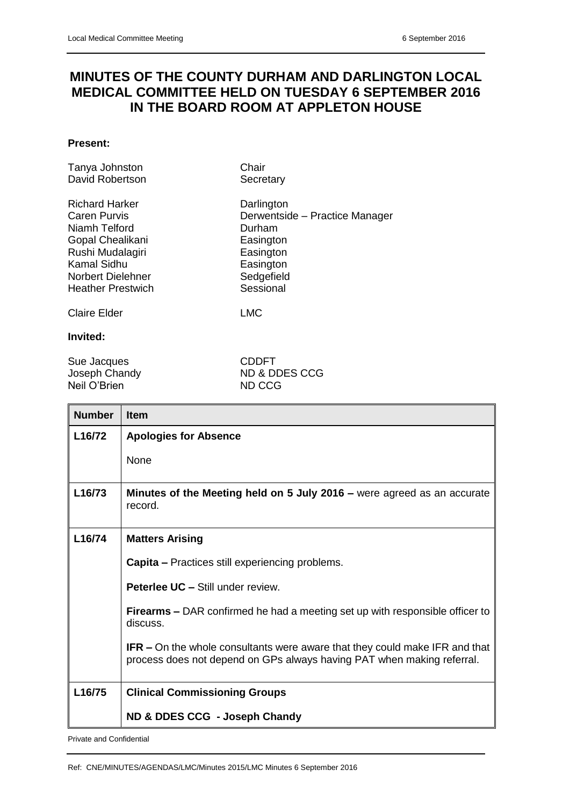## **MINUTES OF THE COUNTY DURHAM AND DARLINGTON LOCAL MEDICAL COMMITTEE HELD ON TUESDAY 6 SEPTEMBER 2016 IN THE BOARD ROOM AT APPLETON HOUSE**

## **Present:**

| Tanya Johnston           | Chair                          |
|--------------------------|--------------------------------|
| David Robertson          | Secretary                      |
| <b>Richard Harker</b>    | Darlington                     |
| <b>Caren Purvis</b>      | Derwentside - Practice Manager |
| Niamh Telford            | Durham                         |
| Gopal Chealikani         | Easington                      |
| Rushi Mudalagiri         | Easington                      |
| Kamal Sidhu              | Easington                      |
| Norbert Dielehner        | Sedgefield                     |
| <b>Heather Prestwich</b> | Sessional                      |
| <b>Claire Elder</b>      | <b>LMC</b>                     |

## **Invited:**

Sue Jacques<br>
Joseph Chandy<br>
The Support of the Support of the Support of the Support of the Support of the Support of the Support of the Support of the Support of the Support of the Support of the Support of the Support of Neil O'Brien

ND & DDES CCG<br>ND CCG

| <b>Number</b>       | <b>Item</b>                                                                                                                                                  |
|---------------------|--------------------------------------------------------------------------------------------------------------------------------------------------------------|
| L <sub>16</sub> /72 | <b>Apologies for Absence</b>                                                                                                                                 |
|                     | None                                                                                                                                                         |
| L16/73              | Minutes of the Meeting held on 5 July 2016 – were agreed as an accurate<br>record.                                                                           |
| L16/74              | <b>Matters Arising</b>                                                                                                                                       |
|                     | <b>Capita</b> – Practices still experiencing problems.                                                                                                       |
|                     | <b>Peterlee UC - Still under review.</b>                                                                                                                     |
|                     | <b>Firearms –</b> DAR confirmed he had a meeting set up with responsible officer to<br>discuss.                                                              |
|                     | <b>IFR</b> – On the whole consultants were aware that they could make IFR and that<br>process does not depend on GPs always having PAT when making referral. |
| L16/75              | <b>Clinical Commissioning Groups</b>                                                                                                                         |
|                     | ND & DDES CCG - Joseph Chandy                                                                                                                                |

Private and Confidential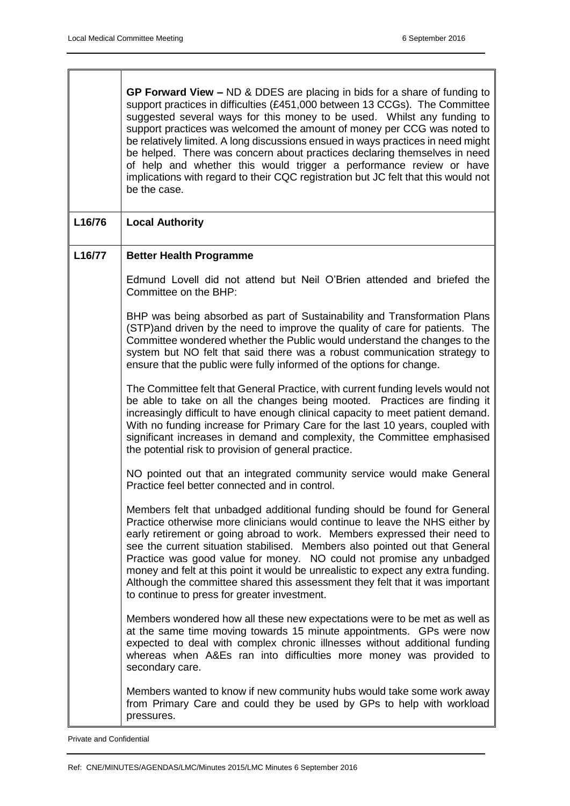|        | GP Forward View $-$ ND & DDES are placing in bids for a share of funding to<br>support practices in difficulties (£451,000 between 13 CCGs). The Committee<br>suggested several ways for this money to be used. Whilst any funding to<br>support practices was welcomed the amount of money per CCG was noted to<br>be relatively limited. A long discussions ensued in ways practices in need might<br>be helped. There was concern about practices declaring themselves in need<br>of help and whether this would trigger a performance review or have<br>implications with regard to their CQC registration but JC felt that this would not<br>be the case. |
|--------|----------------------------------------------------------------------------------------------------------------------------------------------------------------------------------------------------------------------------------------------------------------------------------------------------------------------------------------------------------------------------------------------------------------------------------------------------------------------------------------------------------------------------------------------------------------------------------------------------------------------------------------------------------------|
| L16/76 | <b>Local Authority</b>                                                                                                                                                                                                                                                                                                                                                                                                                                                                                                                                                                                                                                         |
| L16/77 | <b>Better Health Programme</b>                                                                                                                                                                                                                                                                                                                                                                                                                                                                                                                                                                                                                                 |
|        | Edmund Lovell did not attend but Neil O'Brien attended and briefed the<br>Committee on the BHP:                                                                                                                                                                                                                                                                                                                                                                                                                                                                                                                                                                |
|        | BHP was being absorbed as part of Sustainability and Transformation Plans<br>(STP) and driven by the need to improve the quality of care for patients. The<br>Committee wondered whether the Public would understand the changes to the<br>system but NO felt that said there was a robust communication strategy to<br>ensure that the public were fully informed of the options for change.                                                                                                                                                                                                                                                                  |
|        | The Committee felt that General Practice, with current funding levels would not<br>be able to take on all the changes being mooted. Practices are finding it<br>increasingly difficult to have enough clinical capacity to meet patient demand.<br>With no funding increase for Primary Care for the last 10 years, coupled with<br>significant increases in demand and complexity, the Committee emphasised<br>the potential risk to provision of general practice.                                                                                                                                                                                           |
|        | NO pointed out that an integrated community service would make General<br>Practice feel better connected and in control.                                                                                                                                                                                                                                                                                                                                                                                                                                                                                                                                       |
|        | Members felt that unbadged additional funding should be found for General<br>Practice otherwise more clinicians would continue to leave the NHS either by<br>early retirement or going abroad to work. Members expressed their need to<br>see the current situation stabilised. Members also pointed out that General<br>Practice was good value for money. NO could not promise any unbadged<br>money and felt at this point it would be unrealistic to expect any extra funding.<br>Although the committee shared this assessment they felt that it was important<br>to continue to press for greater investment.                                            |
|        | Members wondered how all these new expectations were to be met as well as<br>at the same time moving towards 15 minute appointments. GPs were now<br>expected to deal with complex chronic illnesses without additional funding<br>whereas when A&Es ran into difficulties more money was provided to<br>secondary care.                                                                                                                                                                                                                                                                                                                                       |
|        | Members wanted to know if new community hubs would take some work away<br>from Primary Care and could they be used by GPs to help with workload<br>pressures.                                                                                                                                                                                                                                                                                                                                                                                                                                                                                                  |

Private and Confidential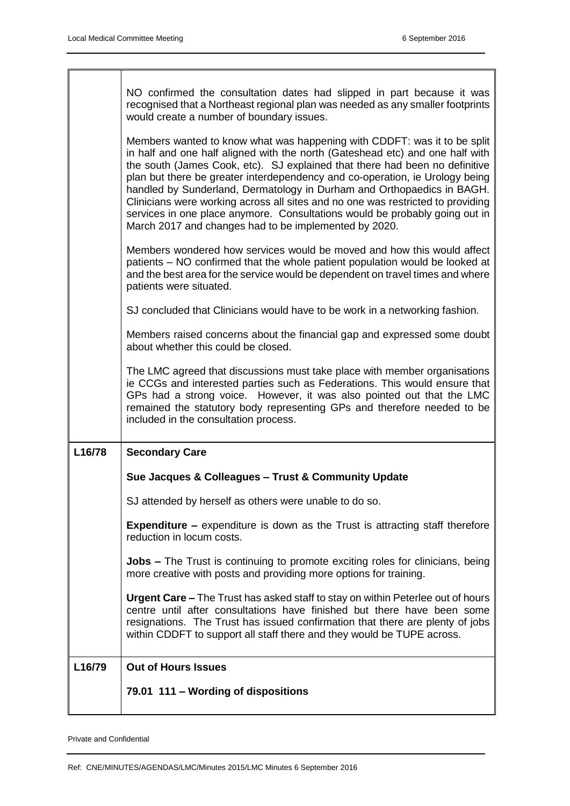٦

|        | NO confirmed the consultation dates had slipped in part because it was<br>recognised that a Northeast regional plan was needed as any smaller footprints<br>would create a number of boundary issues.<br>Members wanted to know what was happening with CDDFT: was it to be split<br>in half and one half aligned with the north (Gateshead etc) and one half with<br>the south (James Cook, etc). SJ explained that there had been no definitive<br>plan but there be greater interdependency and co-operation, ie Urology being<br>handled by Sunderland, Dermatology in Durham and Orthopaedics in BAGH.<br>Clinicians were working across all sites and no one was restricted to providing<br>services in one place anymore. Consultations would be probably going out in<br>March 2017 and changes had to be implemented by 2020.<br>Members wondered how services would be moved and how this would affect |
|--------|------------------------------------------------------------------------------------------------------------------------------------------------------------------------------------------------------------------------------------------------------------------------------------------------------------------------------------------------------------------------------------------------------------------------------------------------------------------------------------------------------------------------------------------------------------------------------------------------------------------------------------------------------------------------------------------------------------------------------------------------------------------------------------------------------------------------------------------------------------------------------------------------------------------|
|        | patients – NO confirmed that the whole patient population would be looked at<br>and the best area for the service would be dependent on travel times and where<br>patients were situated.                                                                                                                                                                                                                                                                                                                                                                                                                                                                                                                                                                                                                                                                                                                        |
|        | SJ concluded that Clinicians would have to be work in a networking fashion.                                                                                                                                                                                                                                                                                                                                                                                                                                                                                                                                                                                                                                                                                                                                                                                                                                      |
|        | Members raised concerns about the financial gap and expressed some doubt<br>about whether this could be closed.                                                                                                                                                                                                                                                                                                                                                                                                                                                                                                                                                                                                                                                                                                                                                                                                  |
|        | The LMC agreed that discussions must take place with member organisations<br>ie CCGs and interested parties such as Federations. This would ensure that<br>GPs had a strong voice. However, it was also pointed out that the LMC<br>remained the statutory body representing GPs and therefore needed to be<br>included in the consultation process.                                                                                                                                                                                                                                                                                                                                                                                                                                                                                                                                                             |
| L16/78 | <b>Secondary Care</b>                                                                                                                                                                                                                                                                                                                                                                                                                                                                                                                                                                                                                                                                                                                                                                                                                                                                                            |
|        | Sue Jacques & Colleagues - Trust & Community Update                                                                                                                                                                                                                                                                                                                                                                                                                                                                                                                                                                                                                                                                                                                                                                                                                                                              |
|        | SJ attended by herself as others were unable to do so.                                                                                                                                                                                                                                                                                                                                                                                                                                                                                                                                                                                                                                                                                                                                                                                                                                                           |
|        | <b>Expenditure –</b> expenditure is down as the Trust is attracting staff therefore<br>reduction in locum costs.                                                                                                                                                                                                                                                                                                                                                                                                                                                                                                                                                                                                                                                                                                                                                                                                 |
|        | <b>Jobs –</b> The Trust is continuing to promote exciting roles for clinicians, being<br>more creative with posts and providing more options for training.                                                                                                                                                                                                                                                                                                                                                                                                                                                                                                                                                                                                                                                                                                                                                       |
|        | Urgent Care – The Trust has asked staff to stay on within Peterlee out of hours<br>centre until after consultations have finished but there have been some<br>resignations. The Trust has issued confirmation that there are plenty of jobs<br>within CDDFT to support all staff there and they would be TUPE across.                                                                                                                                                                                                                                                                                                                                                                                                                                                                                                                                                                                            |
| L16/79 | <b>Out of Hours Issues</b>                                                                                                                                                                                                                                                                                                                                                                                                                                                                                                                                                                                                                                                                                                                                                                                                                                                                                       |
|        | 79.01 111 - Wording of dispositions                                                                                                                                                                                                                                                                                                                                                                                                                                                                                                                                                                                                                                                                                                                                                                                                                                                                              |

Private and Confidential